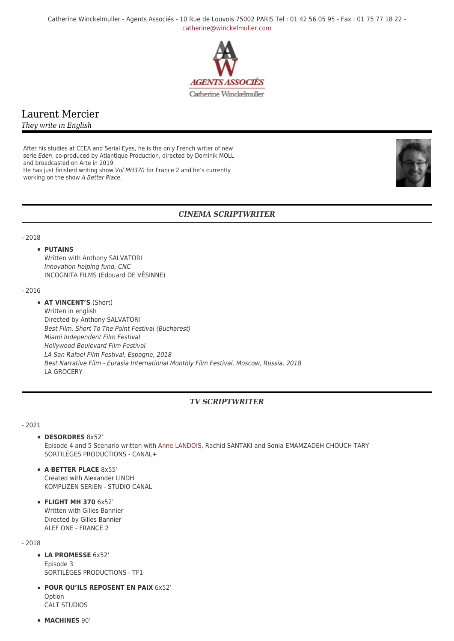Catherine Winckelmuller - Agents Associés - 10 Rue de Louvois 75002 PARIS Tel : 01 42 56 05 95 - Fax : 01 75 77 18 22 [catherine@winckelmuller.com](mailto:catherine@winckelmuller.com)



# Laurent Mercier

*They write in English*

After his studies at CEEA and Serial Eyes, he is the only French writer of new serie Eden, co-produced by Atlantique Production, directed by Dominik MOLL and broadcasted on Arte in 2019.

He has just finished writing show Vol MH370 for France 2 and he's currently working on the show A Better Place.



## *CINEMA SCRIPTWRITER*

#### - 2018

#### **• PUTAINS**

Written with Anthony SALVATORI Innovation helping fund, CNC INCOGNITA FILMS (Edouard DE VÉSINNE)

#### - 2016

**AT VINCENT'S** (Short) Written in english Directed by Anthony SALVATORI Best Film, Short To The Point Festival (Bucharest) Miami Independent Film Festival Hollywood Boulevard Film Festival LA San Rafael Film Festival, Espagne, 2018 Best Narrative Film - Eurasia International Monthly Film Festival, Moscow, Russia, 2018 LA GROCERY

# *TV SCRIPTWRITER*

#### - 2021

#### **DESORDRES** 8x52'

Episode 4 and 5 Scenario written with [Anne LANDOIS](https://www.winckelmuller.com/Landois.html), Rachid SANTAKI and Sonia EMAMZADEH CHOUCH TARY SORTILÈGES PRODUCTIONS - CANAL+

**A BETTER PLACE** 8x55' Created with Alexander LINDH KOMPLIZEN SERIEN - STUDIO CANAL

**FLIGHT MH 370** 6x52' Written with Gilles Bannier Directed by Gilles Bannier ALEF ONE - FRANCE 2

- 2018

- **LA PROMESSE** 6x52' Episode 3 SORTILÈGES PRODUCTIONS - TF1
- **POUR QU'ILS REPOSENT EN PAIX** 6x52' Option CALT STUDIOS
- **MACHINES** 90'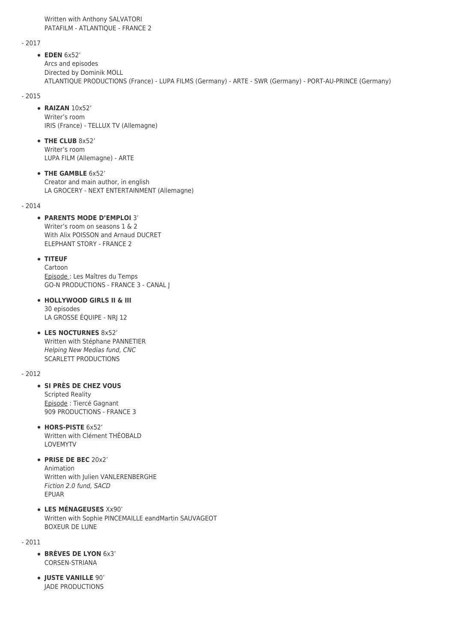Written with Anthony SALVATORI PATAFILM - ATLANTIQUE - FRANCE 2

- 2017

**EDEN** 6x52' Arcs and episodes Directed by Dominik MOLL ATLANTIQUE PRODUCTIONS (France) - LUPA FILMS (Germany) - ARTE - SWR (Germany) - PORT-AU-PRINCE (Germany)

- 2015

## **RAIZAN** 10x52'

Writer's room IRIS (France) - TELLUX TV (Allemagne)

**THE CLUB** 8x52' Writer's room LUPA FILM (Allemagne) - ARTE

**THE GAMBLE** 6x52' Creator and main author, in english LA GROCERY - NEXT ENTERTAINMENT (Allemagne)

 $-2014$ 

## **PARENTS MODE D'EMPLOI** 3'

Writer's room on seasons 1 & 2 With Alix POISSON and Arnaud DUCRET ELEPHANT STORY - FRANCE 2

## **TITEUF**

Cartoon Episode : Les Maîtres du Temps GO-N PRODUCTIONS - FRANCE 3 - CANAL J

- **HOLLYWOOD GIRLS II & III** 30 episodes LA GROSSE ÉQUIPE - NRJ 12
- **LES NOCTURNES** 8x52' Written with Stéphane PANNETIER Helping New Medias fund, CNC SCARLETT PRODUCTIONS

- 2012

#### **SI PRÈS DE CHEZ VOUS**

Scripted Reality Episode : Tiercé Gagnant 909 PRODUCTIONS - FRANCE 3

- **HORS-PISTE** 6x52' Written with Clément THÉOBALD LOVEMYTV
- **PRISE DE BEC** 20x2' Animation

Written with Julien VANLERENBERGHE Fiction 2.0 fund, SACD EPUAR

**LES MÉNAGEUSES** Xx90' Written with Sophie PINCEMAILLE eandMartin SAUVAGEOT BOXEUR DE LUNE

- 2011

- **BRÈVES DE LYON** 6x3' CORSEN-STRIANA
- **JUSTE VANILLE** 90' JADE PRODUCTIONS